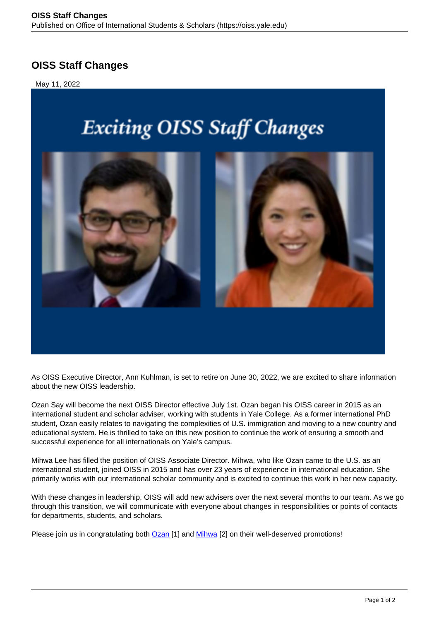## **OISS Staff Changes**

May 11, 2022

## **Exciting OISS Staff Changes**



As OISS Executive Director, Ann Kuhlman, is set to retire on June 30, 2022, we are excited to share information about the new OISS leadership.

Ozan Say will become the next OISS Director effective July 1st. Ozan began his OISS career in 2015 as an international student and scholar adviser, working with students in Yale College. As a former international PhD student, Ozan easily relates to navigating the complexities of U.S. immigration and moving to a new country and educational system. He is thrilled to take on this new position to continue the work of ensuring a smooth and successful experience for all internationals on Yale's campus.

Mihwa Lee has filled the position of OISS Associate Director. Mihwa, who like Ozan came to the U.S. as an international student, joined OISS in 2015 and has over 23 years of experience in international education. She primarily works with our international scholar community and is excited to continue this work in her new capacity.

With these changes in leadership, OISS will add new advisers over the next several months to our team. As we go through this transition, we will communicate with everyone about changes in responsibilities or points of contacts for departments, students, and scholars.

Please join us in congratulating both **[Ozan](https://oiss.yale.edu/about/oiss-staff/ozan-say)** [1] and Mihwa [2] on their well-deserved promotions!